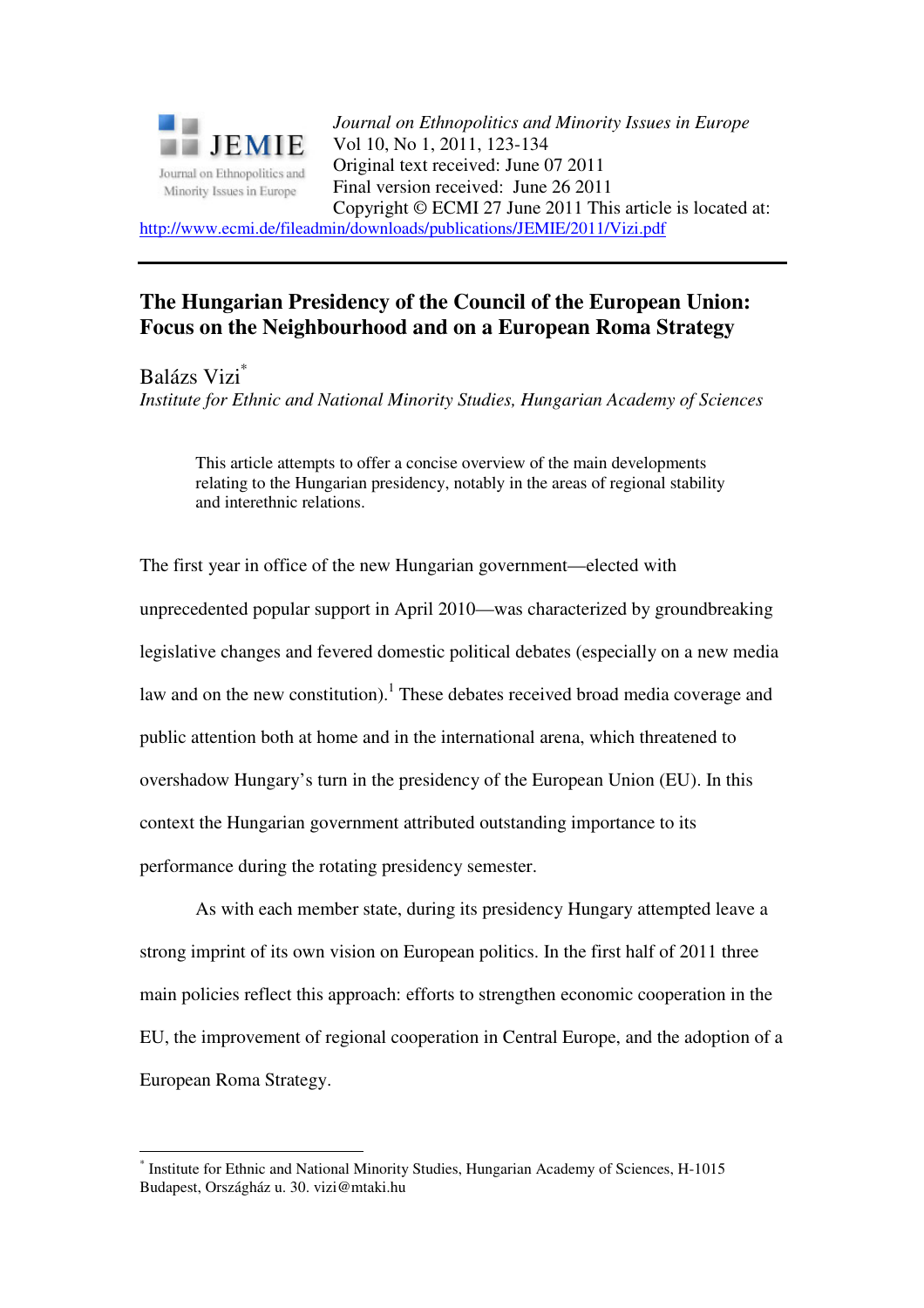

*Journal on Ethnopolitics and Minority Issues in Europe* Vol 10, No 1, 2011, 123-134 Original text received: June 07 2011 Final version received: June 26 2011 Copyright © ECMI 27 June 2011 This article is located at: http://www.ecmi.de/fileadmin/downloads/publications/JEMIE/2011/Vizi.pdf

# **The Hungarian Presidency of the Council of the European Union: Focus on the Neighbourhood and on a European Roma Strategy**

Balázs Vizi\*

 $\overline{a}$ 

*Institute for Ethnic and National Minority Studies, Hungarian Academy of Sciences* 

This article attempts to offer a concise overview of the main developments relating to the Hungarian presidency, notably in the areas of regional stability and interethnic relations.

The first year in office of the new Hungarian government—elected with unprecedented popular support in April 2010—was characterized by groundbreaking legislative changes and fevered domestic political debates (especially on a new media law and on the new constitution).<sup>1</sup> These debates received broad media coverage and public attention both at home and in the international arena, which threatened to overshadow Hungary's turn in the presidency of the European Union (EU). In this context the Hungarian government attributed outstanding importance to its performance during the rotating presidency semester.

As with each member state, during its presidency Hungary attempted leave a strong imprint of its own vision on European politics. In the first half of 2011 three main policies reflect this approach: efforts to strengthen economic cooperation in the EU, the improvement of regional cooperation in Central Europe, and the adoption of a European Roma Strategy.

<sup>\*</sup> Institute for Ethnic and National Minority Studies, Hungarian Academy of Sciences, H-1015 Budapest, Országház u. 30. vizi@mtaki.hu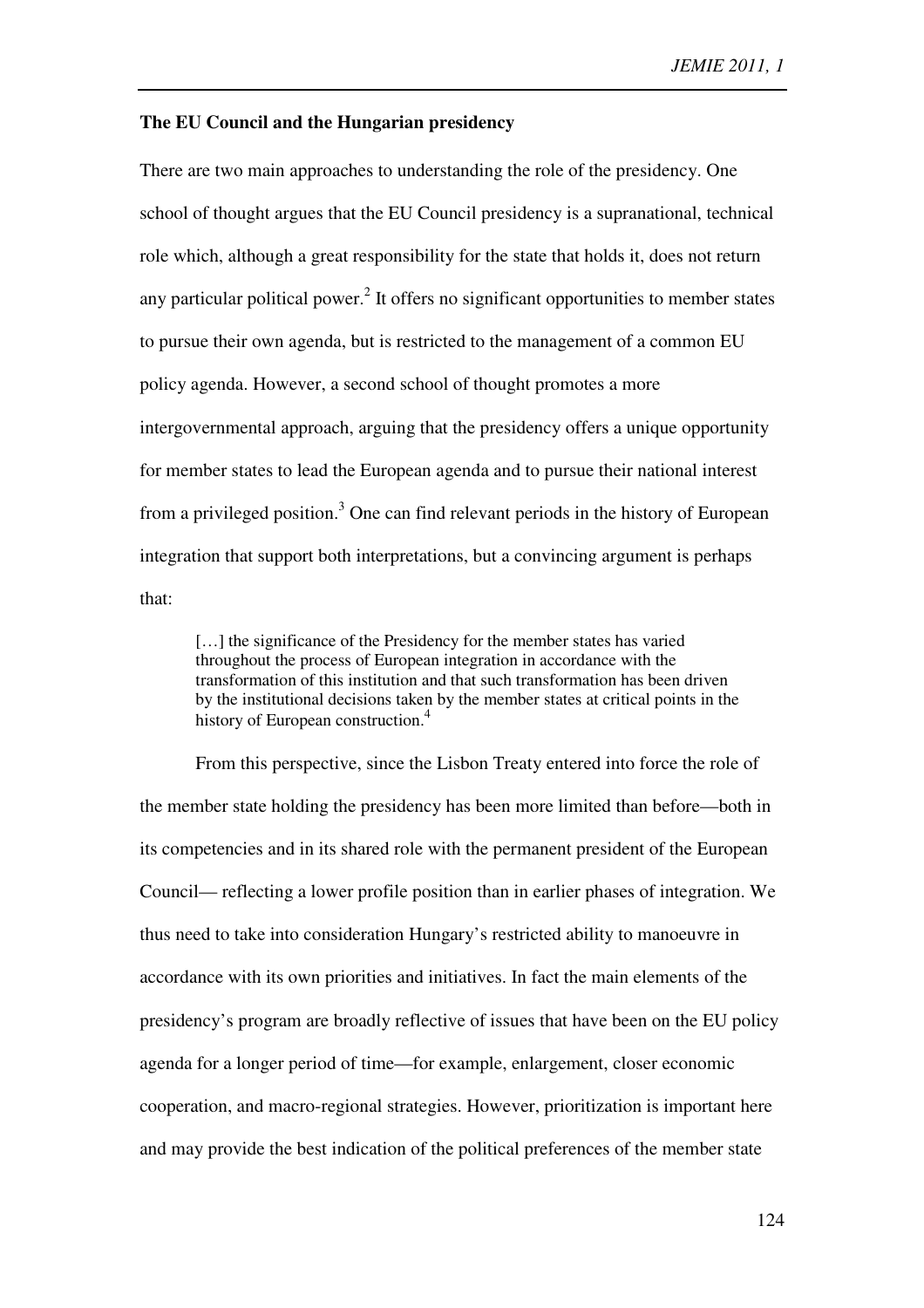### **The EU Council and the Hungarian presidency**

There are two main approaches to understanding the role of the presidency. One school of thought argues that the EU Council presidency is a supranational, technical role which, although a great responsibility for the state that holds it, does not return any particular political power.<sup>2</sup> It offers no significant opportunities to member states to pursue their own agenda, but is restricted to the management of a common EU policy agenda. However, a second school of thought promotes a more intergovernmental approach, arguing that the presidency offers a unique opportunity for member states to lead the European agenda and to pursue their national interest from a privileged position.<sup>3</sup> One can find relevant periods in the history of European integration that support both interpretations, but a convincing argument is perhaps that:

[...] the significance of the Presidency for the member states has varied throughout the process of European integration in accordance with the transformation of this institution and that such transformation has been driven by the institutional decisions taken by the member states at critical points in the history of European construction.<sup>4</sup>

From this perspective, since the Lisbon Treaty entered into force the role of the member state holding the presidency has been more limited than before—both in its competencies and in its shared role with the permanent president of the European Council— reflecting a lower profile position than in earlier phases of integration. We thus need to take into consideration Hungary's restricted ability to manoeuvre in accordance with its own priorities and initiatives. In fact the main elements of the presidency's program are broadly reflective of issues that have been on the EU policy agenda for a longer period of time—for example, enlargement, closer economic cooperation, and macro-regional strategies. However, prioritization is important here and may provide the best indication of the political preferences of the member state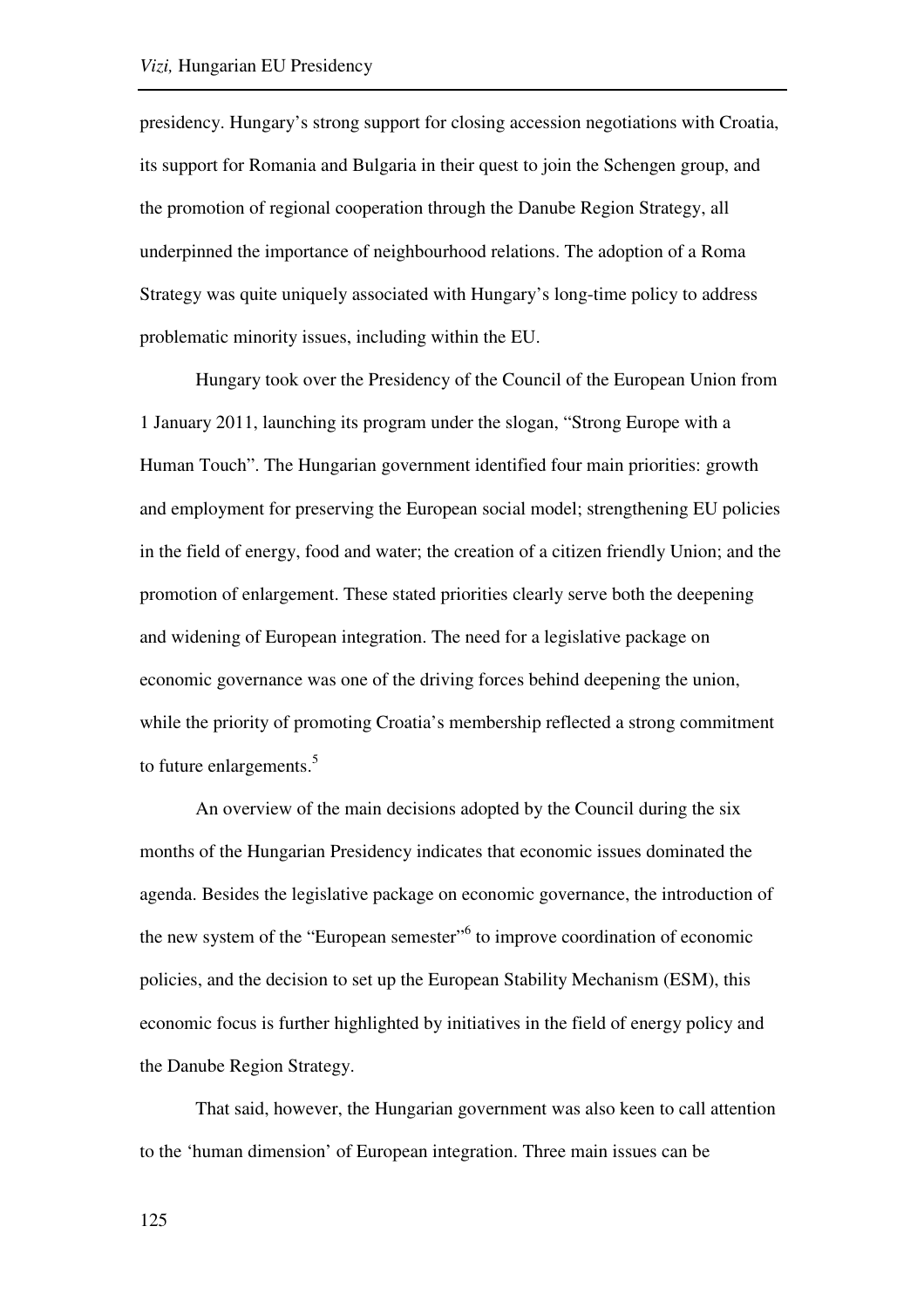presidency. Hungary's strong support for closing accession negotiations with Croatia, its support for Romania and Bulgaria in their quest to join the Schengen group, and the promotion of regional cooperation through the Danube Region Strategy, all underpinned the importance of neighbourhood relations. The adoption of a Roma Strategy was quite uniquely associated with Hungary's long-time policy to address problematic minority issues, including within the EU.

Hungary took over the Presidency of the Council of the European Union from 1 January 2011, launching its program under the slogan, "Strong Europe with a Human Touch". The Hungarian government identified four main priorities: growth and employment for preserving the European social model; strengthening EU policies in the field of energy, food and water; the creation of a citizen friendly Union; and the promotion of enlargement. These stated priorities clearly serve both the deepening and widening of European integration. The need for a legislative package on economic governance was one of the driving forces behind deepening the union, while the priority of promoting Croatia's membership reflected a strong commitment to future enlargements.<sup>5</sup>

An overview of the main decisions adopted by the Council during the six months of the Hungarian Presidency indicates that economic issues dominated the agenda. Besides the legislative package on economic governance, the introduction of the new system of the "European semester"<sup>6</sup> to improve coordination of economic policies, and the decision to set up the European Stability Mechanism (ESM), this economic focus is further highlighted by initiatives in the field of energy policy and the Danube Region Strategy.

That said, however, the Hungarian government was also keen to call attention to the 'human dimension' of European integration. Three main issues can be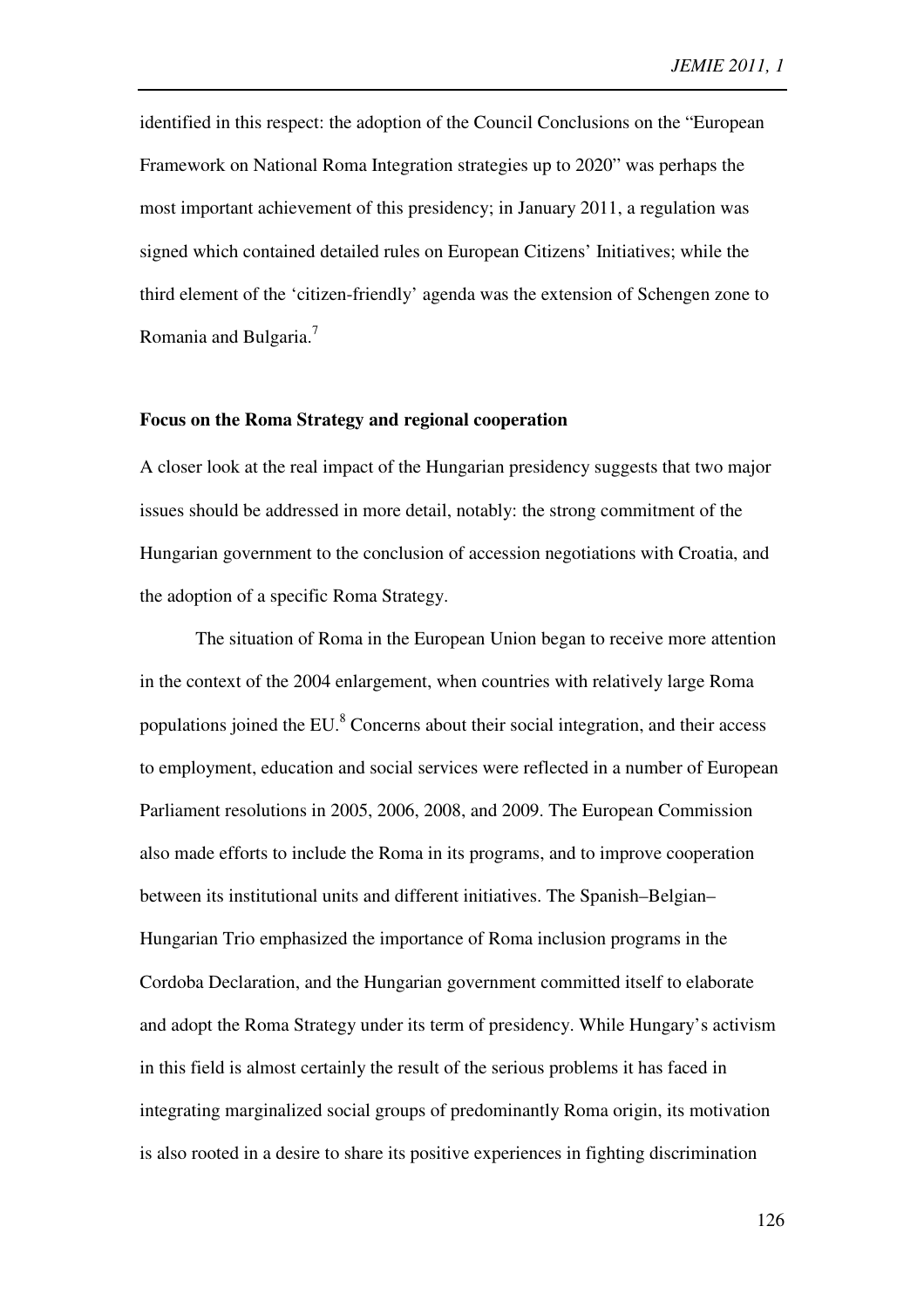identified in this respect: the adoption of the Council Conclusions on the "European Framework on National Roma Integration strategies up to 2020" was perhaps the most important achievement of this presidency; in January 2011, a regulation was signed which contained detailed rules on European Citizens' Initiatives; while the third element of the 'citizen-friendly' agenda was the extension of Schengen zone to Romania and Bulgaria.<sup>7</sup>

### **Focus on the Roma Strategy and regional cooperation**

A closer look at the real impact of the Hungarian presidency suggests that two major issues should be addressed in more detail, notably: the strong commitment of the Hungarian government to the conclusion of accession negotiations with Croatia, and the adoption of a specific Roma Strategy.

The situation of Roma in the European Union began to receive more attention in the context of the 2004 enlargement, when countries with relatively large Roma populations joined the EU. ${}^{8}$  Concerns about their social integration, and their access to employment, education and social services were reflected in a number of European Parliament resolutions in 2005, 2006, 2008, and 2009. The European Commission also made efforts to include the Roma in its programs, and to improve cooperation between its institutional units and different initiatives. The Spanish–Belgian– Hungarian Trio emphasized the importance of Roma inclusion programs in the Cordoba Declaration, and the Hungarian government committed itself to elaborate and adopt the Roma Strategy under its term of presidency. While Hungary's activism in this field is almost certainly the result of the serious problems it has faced in integrating marginalized social groups of predominantly Roma origin, its motivation is also rooted in a desire to share its positive experiences in fighting discrimination

126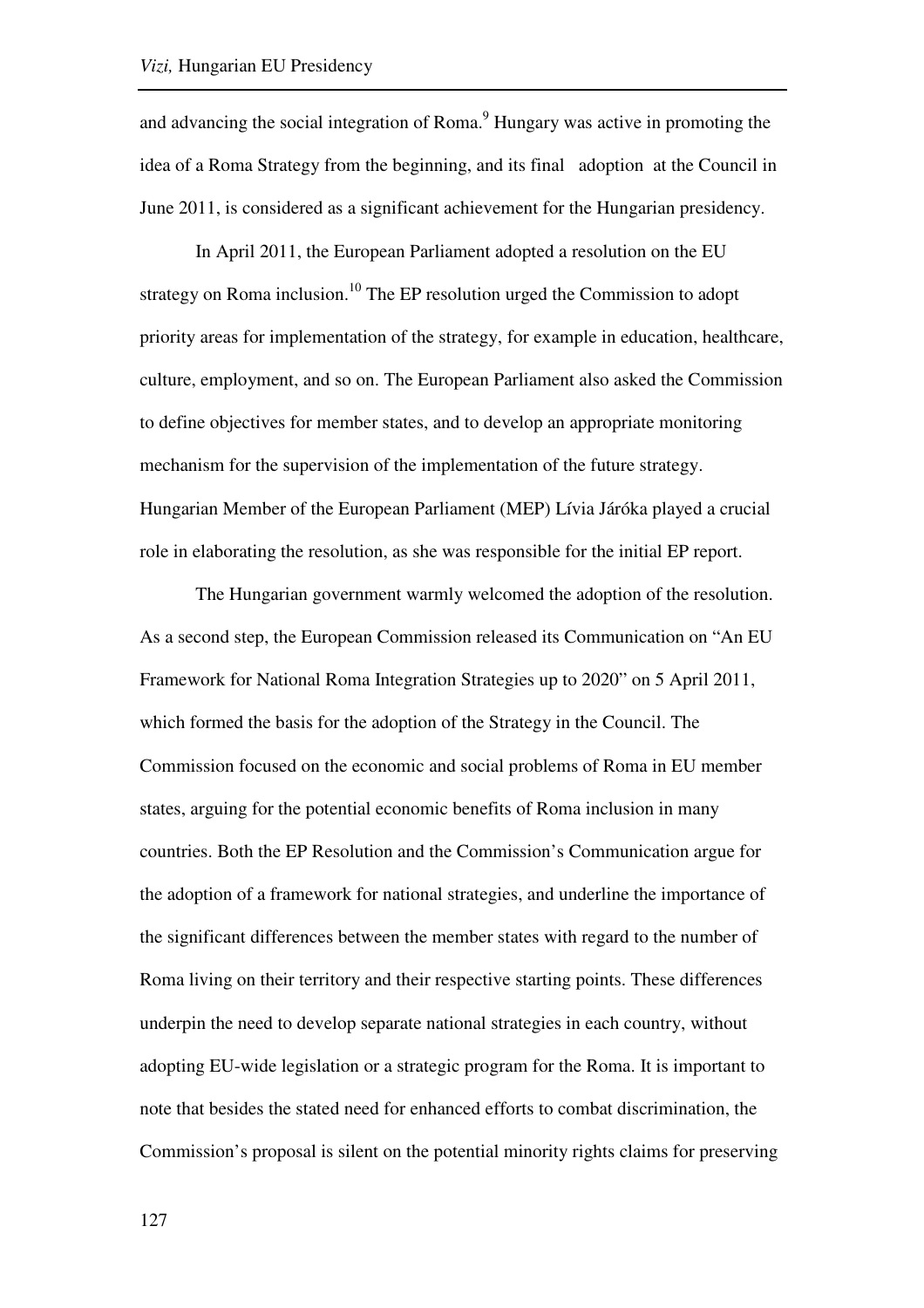and advancing the social integration of Roma.<sup>9</sup> Hungary was active in promoting the idea of a Roma Strategy from the beginning, and its final adoption at the Council in June 2011, is considered as a significant achievement for the Hungarian presidency.

In April 2011, the European Parliament adopted a resolution on the EU strategy on Roma inclusion.<sup>10</sup> The EP resolution urged the Commission to adopt priority areas for implementation of the strategy, for example in education, healthcare, culture, employment, and so on. The European Parliament also asked the Commission to define objectives for member states, and to develop an appropriate monitoring mechanism for the supervision of the implementation of the future strategy. Hungarian Member of the European Parliament (MEP) Lívia Járóka played a crucial role in elaborating the resolution, as she was responsible for the initial EP report.

The Hungarian government warmly welcomed the adoption of the resolution. As a second step, the European Commission released its Communication on "An EU Framework for National Roma Integration Strategies up to 2020" on 5 April 2011, which formed the basis for the adoption of the Strategy in the Council. The Commission focused on the economic and social problems of Roma in EU member states, arguing for the potential economic benefits of Roma inclusion in many countries. Both the EP Resolution and the Commission's Communication argue for the adoption of a framework for national strategies, and underline the importance of the significant differences between the member states with regard to the number of Roma living on their territory and their respective starting points. These differences underpin the need to develop separate national strategies in each country, without adopting EU-wide legislation or a strategic program for the Roma. It is important to note that besides the stated need for enhanced efforts to combat discrimination, the Commission's proposal is silent on the potential minority rights claims for preserving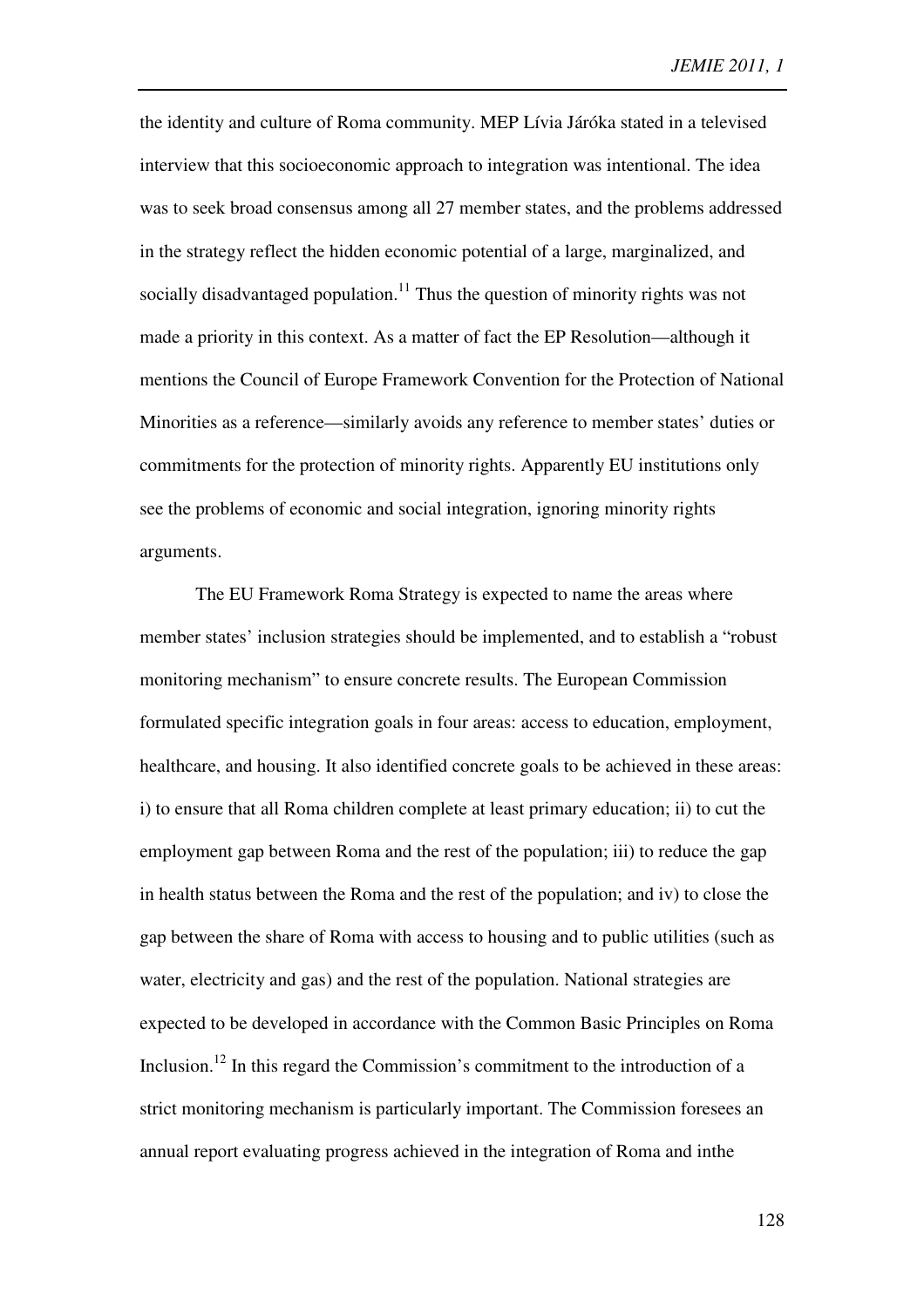the identity and culture of Roma community. MEP Lívia Járóka stated in a televised interview that this socioeconomic approach to integration was intentional. The idea was to seek broad consensus among all 27 member states, and the problems addressed in the strategy reflect the hidden economic potential of a large, marginalized, and socially disadvantaged population.<sup>11</sup> Thus the question of minority rights was not made a priority in this context. As a matter of fact the EP Resolution—although it mentions the Council of Europe Framework Convention for the Protection of National Minorities as a reference—similarly avoids any reference to member states' duties or commitments for the protection of minority rights. Apparently EU institutions only see the problems of economic and social integration, ignoring minority rights arguments.

The EU Framework Roma Strategy is expected to name the areas where member states' inclusion strategies should be implemented, and to establish a "robust monitoring mechanism" to ensure concrete results. The European Commission formulated specific integration goals in four areas: access to education, employment, healthcare, and housing. It also identified concrete goals to be achieved in these areas: i) to ensure that all Roma children complete at least primary education; ii) to cut the employment gap between Roma and the rest of the population; iii) to reduce the gap in health status between the Roma and the rest of the population; and iv) to close the gap between the share of Roma with access to housing and to public utilities (such as water, electricity and gas) and the rest of the population. National strategies are expected to be developed in accordance with the Common Basic Principles on Roma Inclusion.<sup>12</sup> In this regard the Commission's commitment to the introduction of a strict monitoring mechanism is particularly important. The Commission foresees an annual report evaluating progress achieved in the integration of Roma and inthe

128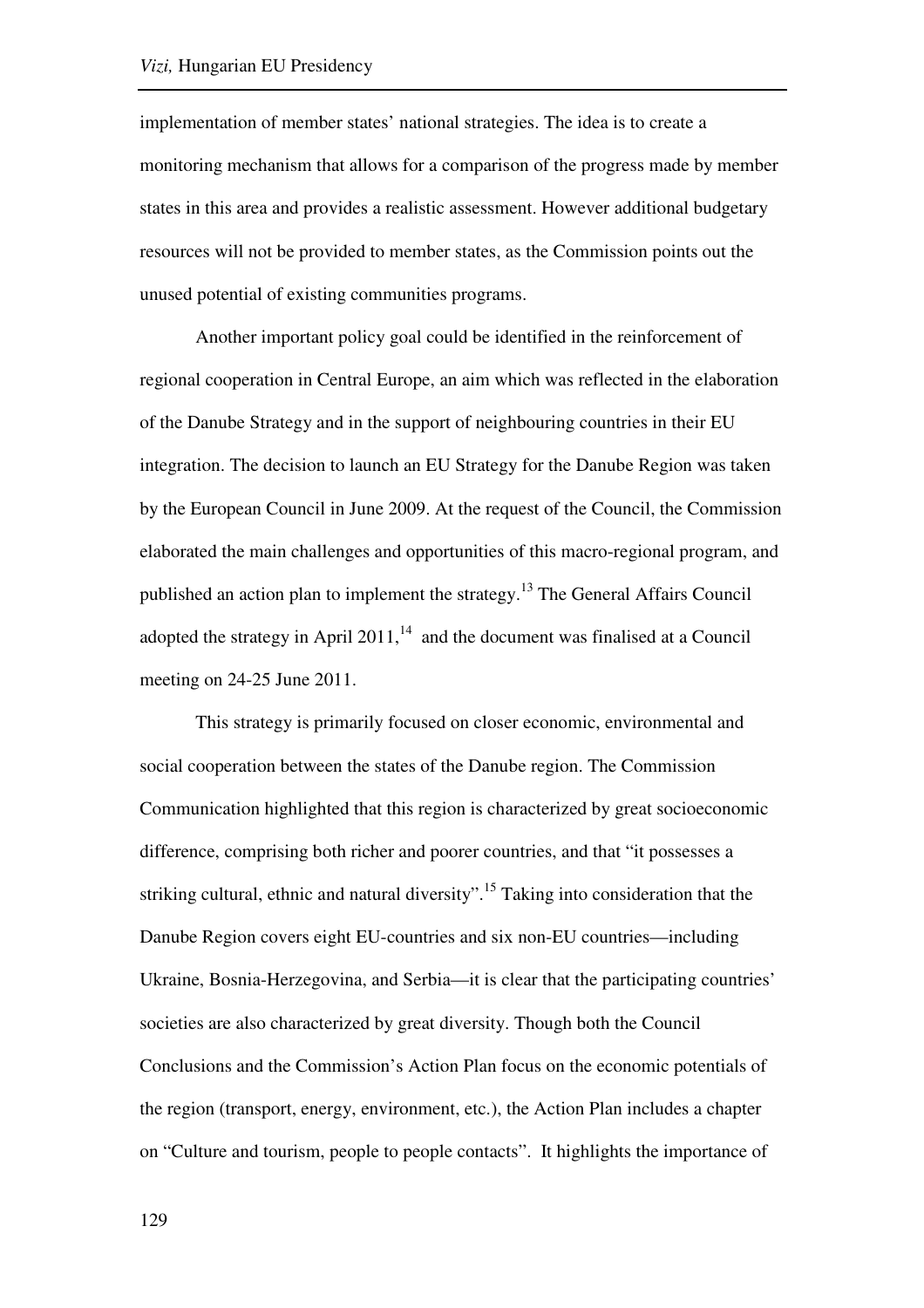implementation of member states' national strategies. The idea is to create a monitoring mechanism that allows for a comparison of the progress made by member states in this area and provides a realistic assessment. However additional budgetary resources will not be provided to member states, as the Commission points out the unused potential of existing communities programs.

Another important policy goal could be identified in the reinforcement of regional cooperation in Central Europe, an aim which was reflected in the elaboration of the Danube Strategy and in the support of neighbouring countries in their EU integration. The decision to launch an EU Strategy for the Danube Region was taken by the European Council in June 2009. At the request of the Council, the Commission elaborated the main challenges and opportunities of this macro-regional program, and published an action plan to implement the strategy.<sup>13</sup> The General Affairs Council adopted the strategy in April 2011, $14$  and the document was finalised at a Council meeting on 24-25 June 2011.

This strategy is primarily focused on closer economic, environmental and social cooperation between the states of the Danube region. The Commission Communication highlighted that this region is characterized by great socioeconomic difference, comprising both richer and poorer countries, and that "it possesses a striking cultural, ethnic and natural diversity".<sup>15</sup> Taking into consideration that the Danube Region covers eight EU-countries and six non-EU countries—including Ukraine, Bosnia-Herzegovina, and Serbia—it is clear that the participating countries' societies are also characterized by great diversity. Though both the Council Conclusions and the Commission's Action Plan focus on the economic potentials of the region (transport, energy, environment, etc.), the Action Plan includes a chapter on "Culture and tourism, people to people contacts". It highlights the importance of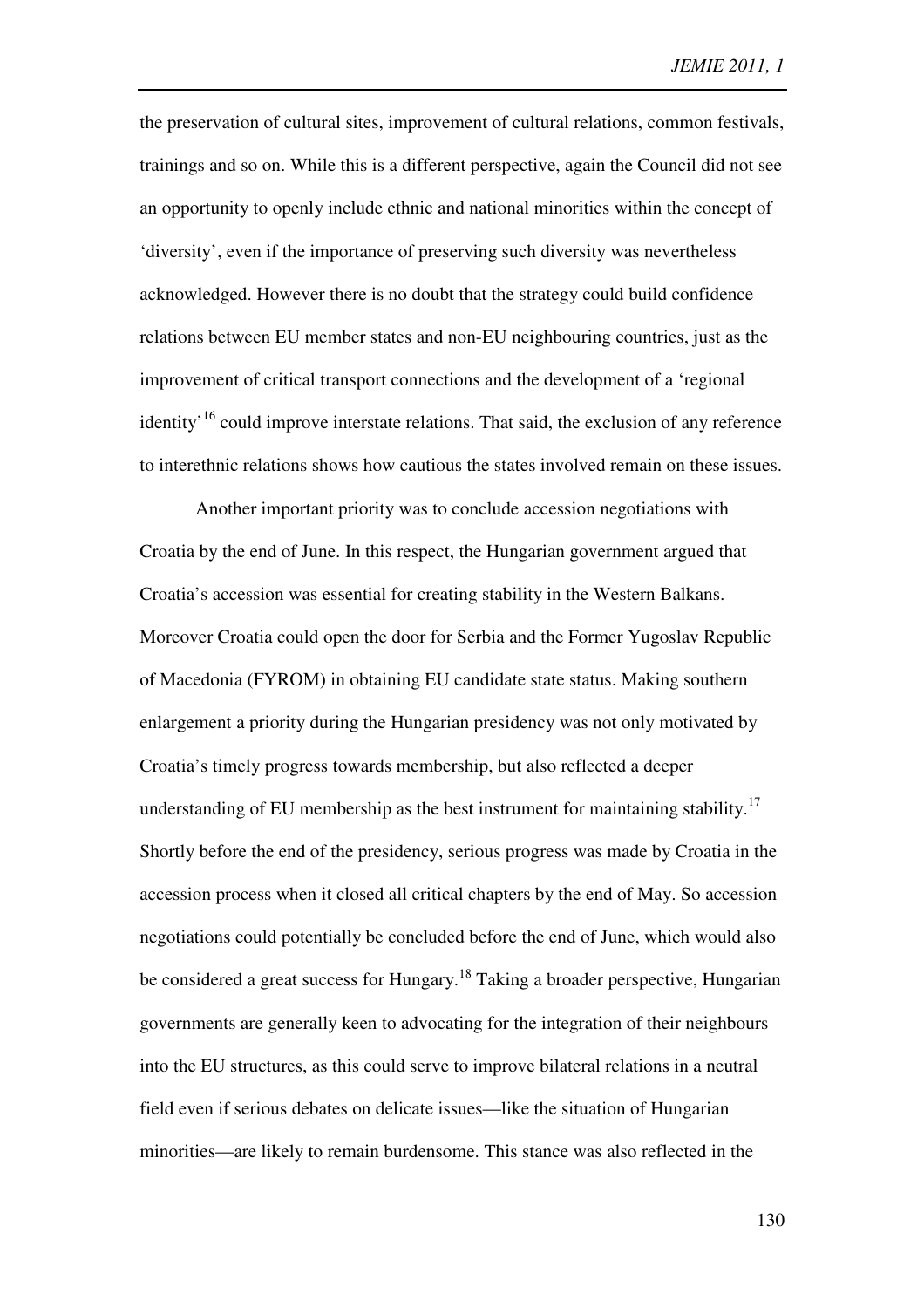the preservation of cultural sites, improvement of cultural relations, common festivals, trainings and so on. While this is a different perspective, again the Council did not see an opportunity to openly include ethnic and national minorities within the concept of 'diversity', even if the importance of preserving such diversity was nevertheless acknowledged. However there is no doubt that the strategy could build confidence relations between EU member states and non-EU neighbouring countries, just as the improvement of critical transport connections and the development of a 'regional identity<sup>16</sup> could improve interstate relations. That said, the exclusion of any reference to interethnic relations shows how cautious the states involved remain on these issues.

Another important priority was to conclude accession negotiations with Croatia by the end of June. In this respect, the Hungarian government argued that Croatia's accession was essential for creating stability in the Western Balkans. Moreover Croatia could open the door for Serbia and the Former Yugoslav Republic of Macedonia (FYROM) in obtaining EU candidate state status. Making southern enlargement a priority during the Hungarian presidency was not only motivated by Croatia's timely progress towards membership, but also reflected a deeper understanding of EU membership as the best instrument for maintaining stability.<sup>17</sup> Shortly before the end of the presidency, serious progress was made by Croatia in the accession process when it closed all critical chapters by the end of May. So accession negotiations could potentially be concluded before the end of June, which would also be considered a great success for Hungary.<sup>18</sup> Taking a broader perspective, Hungarian governments are generally keen to advocating for the integration of their neighbours into the EU structures, as this could serve to improve bilateral relations in a neutral field even if serious debates on delicate issues—like the situation of Hungarian minorities—are likely to remain burdensome. This stance was also reflected in the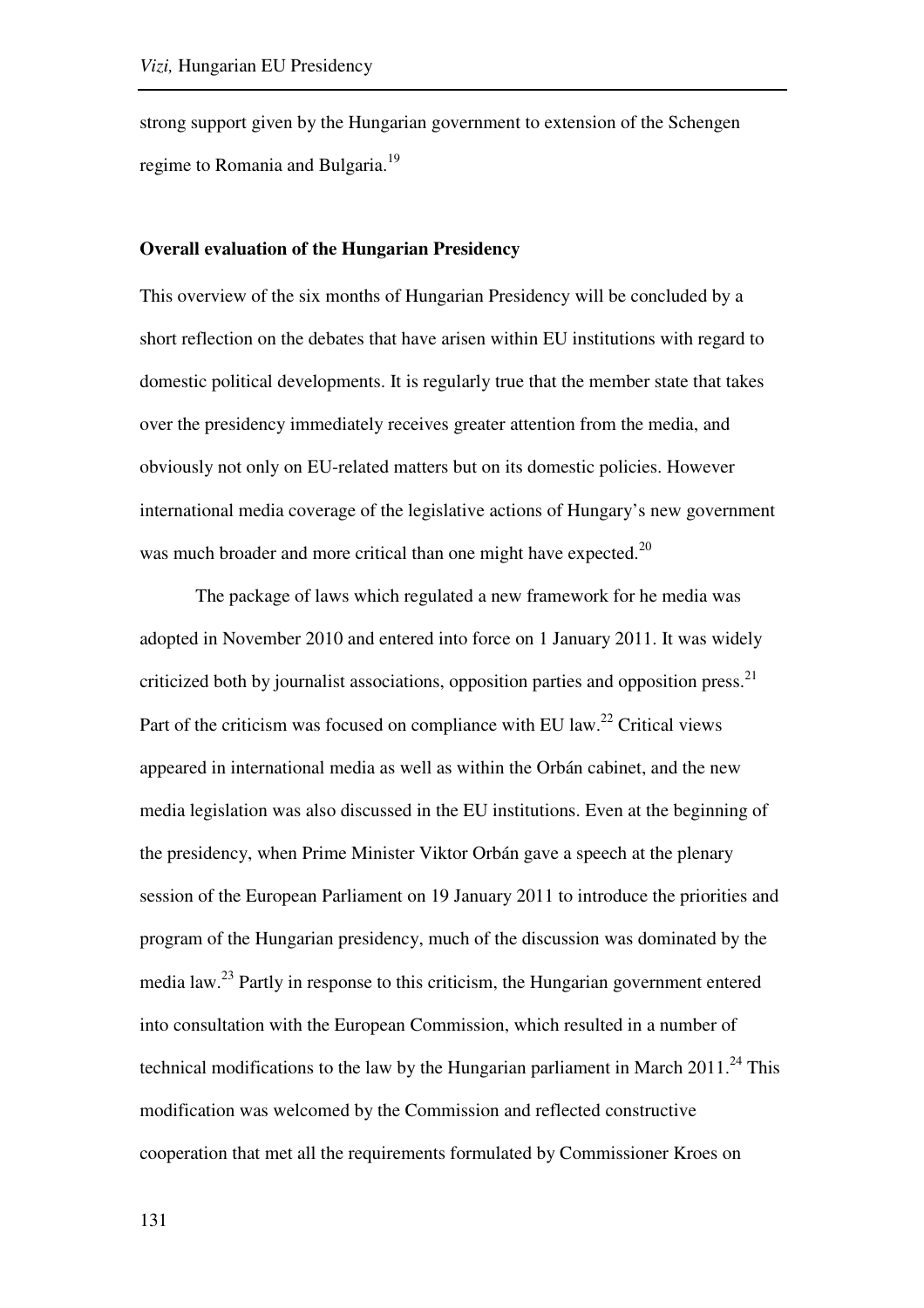strong support given by the Hungarian government to extension of the Schengen regime to Romania and Bulgaria.<sup>19</sup>

## **Overall evaluation of the Hungarian Presidency**

This overview of the six months of Hungarian Presidency will be concluded by a short reflection on the debates that have arisen within EU institutions with regard to domestic political developments. It is regularly true that the member state that takes over the presidency immediately receives greater attention from the media, and obviously not only on EU-related matters but on its domestic policies. However international media coverage of the legislative actions of Hungary's new government was much broader and more critical than one might have expected. $^{20}$ 

The package of laws which regulated a new framework for he media was adopted in November 2010 and entered into force on 1 January 2011. It was widely criticized both by journalist associations, opposition parties and opposition press. $^{21}$ Part of the criticism was focused on compliance with EU law.<sup>22</sup> Critical views appeared in international media as well as within the Orbán cabinet, and the new media legislation was also discussed in the EU institutions. Even at the beginning of the presidency, when Prime Minister Viktor Orbán gave a speech at the plenary session of the European Parliament on 19 January 2011 to introduce the priorities and program of the Hungarian presidency, much of the discussion was dominated by the media law.<sup>23</sup> Partly in response to this criticism, the Hungarian government entered into consultation with the European Commission, which resulted in a number of technical modifications to the law by the Hungarian parliament in March  $2011<sup>24</sup>$ . This modification was welcomed by the Commission and reflected constructive cooperation that met all the requirements formulated by Commissioner Kroes on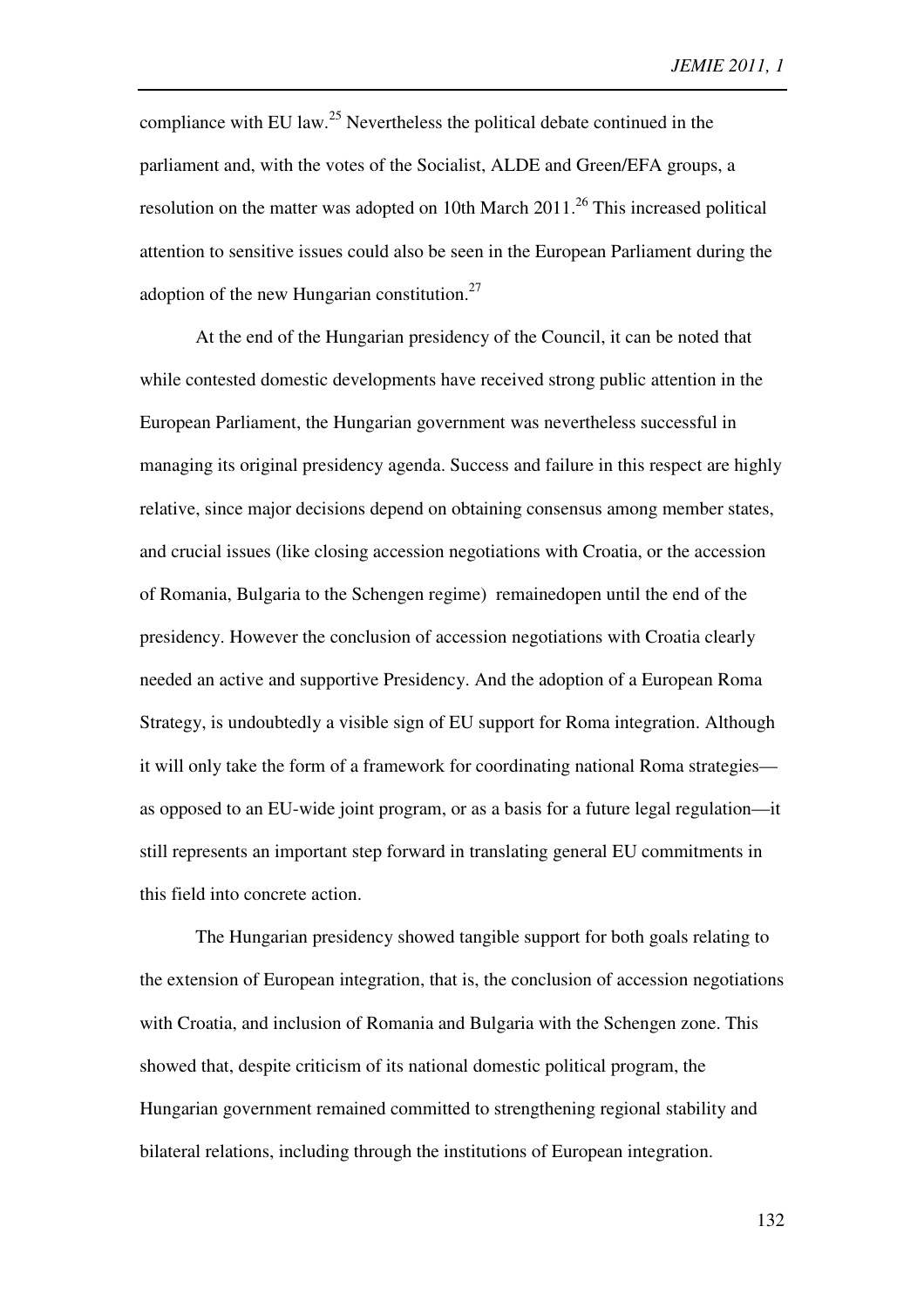compliance with EU law.<sup>25</sup> Nevertheless the political debate continued in the parliament and, with the votes of the Socialist, ALDE and Green/EFA groups, a resolution on the matter was adopted on 10th March  $2011$ <sup>26</sup> This increased political attention to sensitive issues could also be seen in the European Parliament during the adoption of the new Hungarian constitution. $27$ 

At the end of the Hungarian presidency of the Council, it can be noted that while contested domestic developments have received strong public attention in the European Parliament, the Hungarian government was nevertheless successful in managing its original presidency agenda. Success and failure in this respect are highly relative, since major decisions depend on obtaining consensus among member states, and crucial issues (like closing accession negotiations with Croatia, or the accession of Romania, Bulgaria to the Schengen regime) remainedopen until the end of the presidency. However the conclusion of accession negotiations with Croatia clearly needed an active and supportive Presidency. And the adoption of a European Roma Strategy, is undoubtedly a visible sign of EU support for Roma integration. Although it will only take the form of a framework for coordinating national Roma strategies as opposed to an EU-wide joint program, or as a basis for a future legal regulation—it still represents an important step forward in translating general EU commitments in this field into concrete action.

The Hungarian presidency showed tangible support for both goals relating to the extension of European integration, that is, the conclusion of accession negotiations with Croatia, and inclusion of Romania and Bulgaria with the Schengen zone. This showed that, despite criticism of its national domestic political program, the Hungarian government remained committed to strengthening regional stability and bilateral relations, including through the institutions of European integration.

132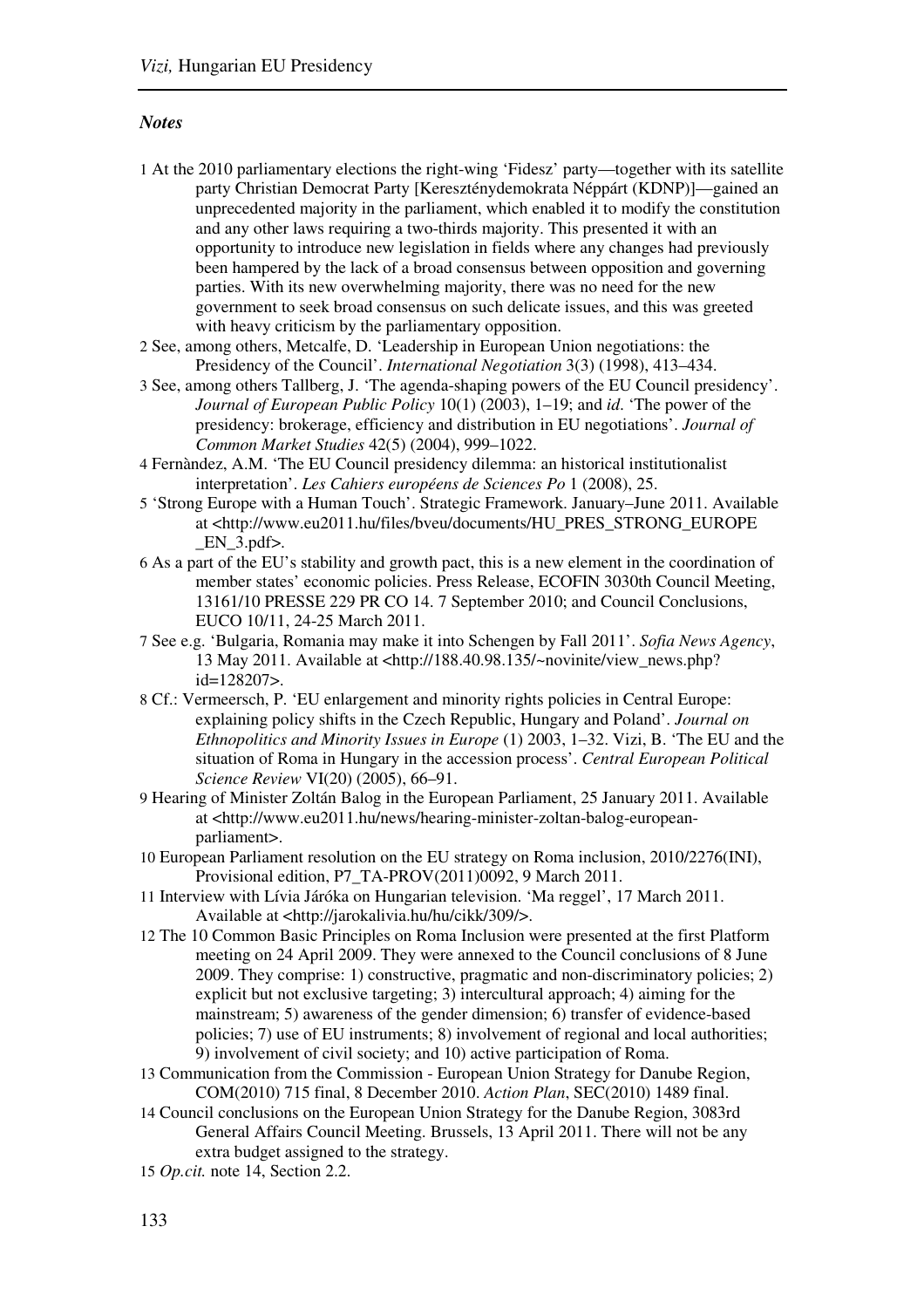#### *Notes*

- 1 At the 2010 parliamentary elections the right-wing 'Fidesz' party—together with its satellite party Christian Democrat Party [Kereszténydemokrata Néppárt (KDNP)]—gained an unprecedented majority in the parliament, which enabled it to modify the constitution and any other laws requiring a two-thirds majority. This presented it with an opportunity to introduce new legislation in fields where any changes had previously been hampered by the lack of a broad consensus between opposition and governing parties. With its new overwhelming majority, there was no need for the new government to seek broad consensus on such delicate issues, and this was greeted with heavy criticism by the parliamentary opposition.
- 2 See, among others, Metcalfe, D. 'Leadership in European Union negotiations: the Presidency of the Council'. *International Negotiation* 3(3) (1998), 413–434.
- 3 See, among others Tallberg, J. 'The agenda-shaping powers of the EU Council presidency'. *Journal of European Public Policy* 10(1) (2003), 1–19; and *id*. 'The power of the presidency: brokerage, efficiency and distribution in EU negotiations'. *Journal of Common Market Studies* 42(5) (2004), 999–1022.
- 4 Fernàndez, A.M. 'The EU Council presidency dilemma: an historical institutionalist interpretation'. *Les Cahiers européens de Sciences Po* 1 (2008), 25.
- 5 'Strong Europe with a Human Touch'. Strategic Framework. January–June 2011. Available at <http://www.eu2011.hu/files/bveu/documents/HU\_PRES\_STRONG\_EUROPE  $EN_3.pdf$ .
- 6 As a part of the EU's stability and growth pact, this is a new element in the coordination of member states' economic policies. Press Release, ECOFIN 3030th Council Meeting, 13161/10 PRESSE 229 PR CO 14. 7 September 2010; and Council Conclusions, EUCO 10/11, 24-25 March 2011.
- 7 See e.g. 'Bulgaria, Romania may make it into Schengen by Fall 2011'. *Sofia News Agency*, 13 May 2011. Available at <http://188.40.98.135/~novinite/view\_news.php? id=128207>.
- 8 Cf.: Vermeersch, P. 'EU enlargement and minority rights policies in Central Europe: explaining policy shifts in the Czech Republic, Hungary and Poland'. *Journal on Ethnopolitics and Minority Issues in Europe* (1) 2003, 1–32. Vizi, B. 'The EU and the situation of Roma in Hungary in the accession process'. *Central European Political Science Review* VI(20) (2005), 66–91.
- 9 Hearing of Minister Zoltán Balog in the European Parliament, 25 January 2011. Available at <http://www.eu2011.hu/news/hearing-minister-zoltan-balog-europeanparliament>.
- 10 European Parliament resolution on the EU strategy on Roma inclusion, 2010/2276(INI), Provisional edition, P7\_TA-PROV(2011)0092, 9 March 2011.
- 11 Interview with Lívia Járóka on Hungarian television. 'Ma reggel', 17 March 2011. Available at <http://jarokalivia.hu/hu/cikk/309/>.
- 12 The 10 Common Basic Principles on Roma Inclusion were presented at the first Platform meeting on 24 April 2009. They were annexed to the Council conclusions of 8 June 2009. They comprise: 1) constructive, pragmatic and non-discriminatory policies; 2) explicit but not exclusive targeting; 3) intercultural approach; 4) aiming for the mainstream; 5) awareness of the gender dimension; 6) transfer of evidence-based policies; 7) use of EU instruments; 8) involvement of regional and local authorities; 9) involvement of civil society; and 10) active participation of Roma.
- 13 Communication from the Commission European Union Strategy for Danube Region, COM(2010) 715 final, 8 December 2010. *Action Plan*, SEC(2010) 1489 final.
- 14 Council conclusions on the European Union Strategy for the Danube Region, 3083rd General Affairs Council Meeting. Brussels, 13 April 2011. There will not be any extra budget assigned to the strategy.
- 15 *Op.cit.* note 14, Section 2.2.